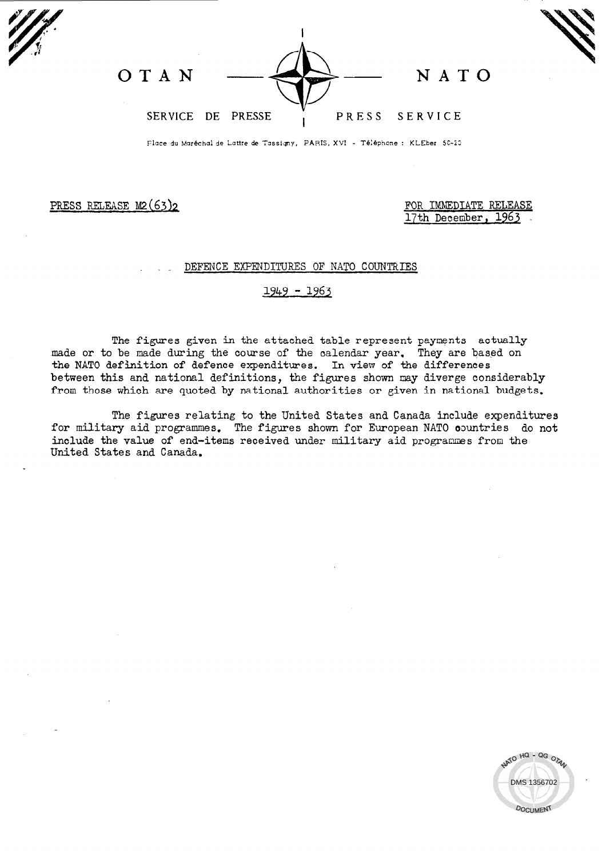| O T A N           |  | N A T O       |
|-------------------|--|---------------|
| SERVICE DE PRESSE |  | PRESS SERVICE |

Place du Maréchal de Lattre de Tassigny, PARIS, XVI - Téléphone : KLEber 50-20

## PRESS RELEASE M2(63)2 FOR IMMEDIATE RELEASE

17th December, 1963

## DEFENCE EXPENDITURES OF NATO COUNTRIES

## <u>1949 - 1963</u>

The figures given in the attached table represent payments actually made or to be made during the course of the oalendar year. They are based on the NATO definition of defence expenditures. In view of the differences between this and national definitions, the figures shown may diverge considerably from those which are quoted by national authorities or given in national budgets.

The figures relating to the United States and Canada include expenditures for military aid programmes. The figures shown for European NATO aountries do not include the value of end-items received under military aid programmes from the United States and Canada.